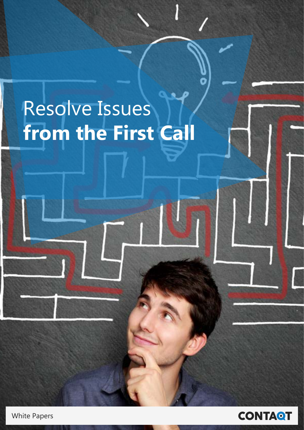#### Issues Resolve **Kesol**<br>-**Trom the First** Resolve Issues **from the First Call**

**White Papers** 

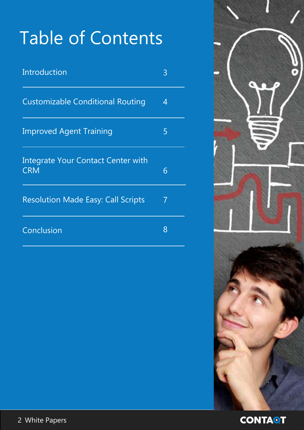## Table of Contents

| Introduction                                            | 3 |
|---------------------------------------------------------|---|
| <b>Customizable Conditional Routing</b>                 | 4 |
| <b>Improved Agent Training</b>                          | 5 |
| <b>Integrate Your Contact Center with</b><br><b>CRM</b> | 6 |
| <b>Resolution Made Easy: Call Scripts</b>               | 7 |
| Conclusion                                              | 8 |



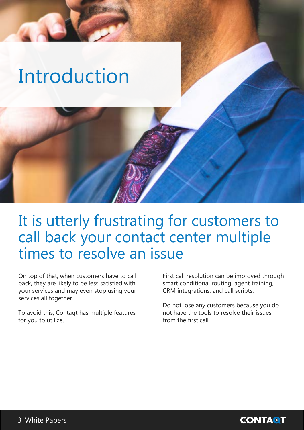# <span id="page-2-0"></span>**Introduction**

#### It is utterly frustrating for customers to call back your contact center multiple times to resolve an issue

On top of that, when customers have to call back, they are likely to be less satisfied with your services and may even stop using your services all together.

To avoid this, Contagt has multiple features for you to utilize.

First call resolution can be improved through smart conditional routing, agent training, CRM integrations, and call scripts.

Do not lose any customers because you do not have the tools to resolve their issues from the first call.

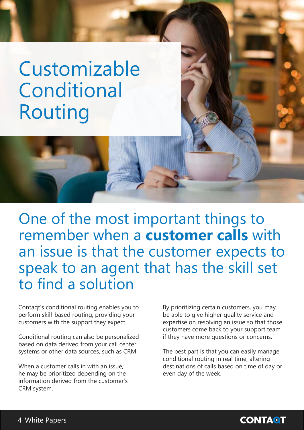## <span id="page-3-0"></span> Customizable **Conditional** Routing

One of the most important things to remember when a **customer calls** with an issue is that the customer expects to speak to an agent that has the skill set to find a solution

Contaqt's conditional routing enables you to perform skill-based routing, providing your customers with the support they expect.

Conditional routing can also be personalized based on data derived from your call center systems or other data sources, such as CRM.

When a customer calls in with an issue. he may be prioritized depending on the information derived from the customer's CRM system.

By prioritizing certain customers, you may be able to give higher quality service and expertise on resolving an issue so that those customers come back to your support team if they have more questions or concerns.

The best part is that you can easily manage conditional routing in real time, altering destinations of calls based on time of day or even day of the week.

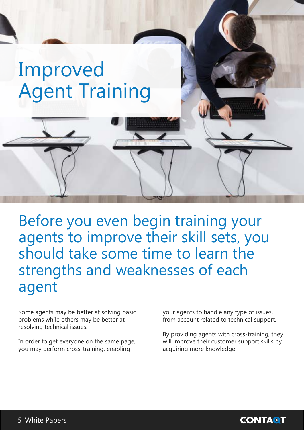## <span id="page-4-0"></span>Improved **Agent Training**

Before you even begin training your agents to improve their skill sets, you should take some time to learn the strengths and weaknesses of each agent

Some agents may be better at solving basic problems while others may be better at resolving technical issues.

In order to get everyone on the same page, you may perform cross-training, enabling

your agents to handle any type of issues, from account related to technical support.

By providing agents with cross-training, they will improve their customer support skills by acquiring more knowledge.

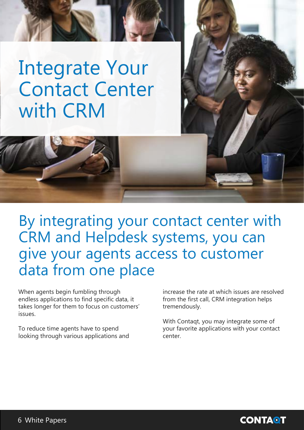#### <span id="page-5-0"></span>**Integrate Your** Contact Center with CRM

By integrating your contact center with CRM and Helpdesk systems, you can give your agents access to customer data from one place

When agents begin fumbling through endless applications to find specific data, it takes longer for them to focus on customers' .issues

To reduce time agents have to spend looking through various applications and

increase the rate at which issues are resolved from the first call, CRM integration helps tremendously.

With Contaqt, you may integrate some of your favorite applications with your contact .center

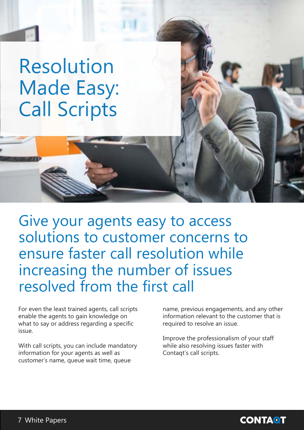#### <span id="page-6-0"></span> Resolution Made Easy: **Call Scripts**

Give your agents easy to access solutions to customer concerns to ensure faster call resolution while increasing the number of issues resolved from the first call

For even the least trained agents, call scripts enable the agents to gain knowledge on what to say or address regarding a specific issue.

With call scripts, you can include mandatory information for your agents as well as customer's name, queue wait time, queue

name, previous engagements, and any other information relevant to the customer that is required to resolve an issue.

Improve the professionalism of your staff while also resolving issues faster with Contaqt's call scripts.